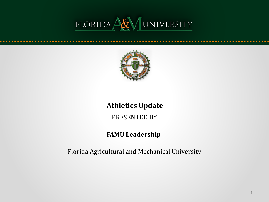# FLORIDA ARIVENSITY



#### **Athletics Update**

PRESENTED BY

#### **FAMU Leadership**

Florida Agricultural and Mechanical University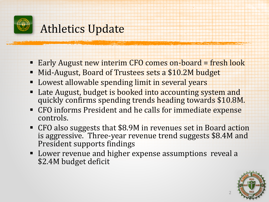

### Athletics Update

- Early August new interim CFO comes on-board = fresh look
- Mid-August, Board of Trustees sets a \$10.2M budget
- **-** Lowest allowable spending limit in several years
- **Late August, budget is booked into accounting system and** quickly confirms spending trends heading towards \$10.8M.
- **CFO** informs President and he calls for immediate expense controls.
- CFO also suggests that \$8.9M in revenues set in Board action is aggressive. Three-year revenue trend suggests \$8.4M and President supports findings
- Lower revenue and higher expense assumptions reveal a \$2.4M budget deficit

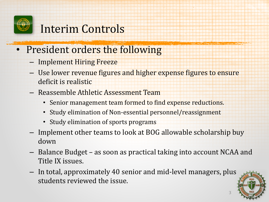

## Interim Controls

- President orders the following
	- Implement Hiring Freeze
	- – Use lower revenue figures and higher expense figures to ensure deficit is realistic
	- Reassemble Athletic Assessment Team
		- Senior management team formed to find expense reductions.
		- Study elimination of Non-essential personnel/reassignment
		- Study elimination of sports programs
	- – Implement other teams to look at BOG allowable scholarship buy down
	- – Balance Budget as soon as practical taking into account NCAA and Title IX issues.
	- – In total, approximately 40 senior and mid-level managers, plus students reviewed the issue.



3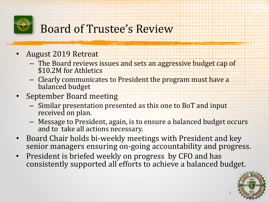

## Board of Trustee's Review

- August 2019 Retreat
	- – The Board reviews issues and sets an aggressive budget cap of \$10.2M for Athletics
	- – Clearly communicates to President the program must have a balanced budget
- September Board meeting
	- – Similar presentation presented as this one to BoT and input received on plan.
	- – Message to President, again, is to ensure a balanced budget occurs and to take all actions necessary.
- • Board Chair holds bi-weekly meetings with President and key senior managers ensuring on-going accountability and progress.
- President is briefed weekly on progress by CFO and has consistently supported all efforts to achieve a balanced budget.



4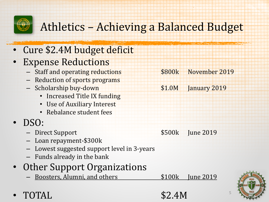

## Athletics – Achieving a Balanced Budget

#### • Cure \$2.4M budget deficit

#### **Expense Reductions**

- Staff and operating reductions **1996 FMSB** November 2019
- Reduction of sports programs
- Scholarship buy-down \$1.0M January 2019
	- Increased Title IX funding
	- Use of Auxiliary Interest
	- Rebalance student fees

### • DSO:

- Direct Support \$500k June 2019
- Loan repayment-\$300k
- Lowest suggested support level in 3-years
- Funds already in the bank

#### • Other Support Organizations

– Boosters, Alumni, and others \$100k June 2019

• TOTAL  $$2.4M$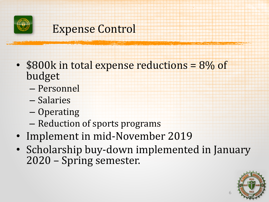

## Expense Control

• \$800k in total expense reductions = 8% of budget

- Personnel
- Salaries
- Operating
- Reduction of sports programs
- Implement in mid-November 2019
- Scholarship buy-down implemented in January 2020 – Spring semester.